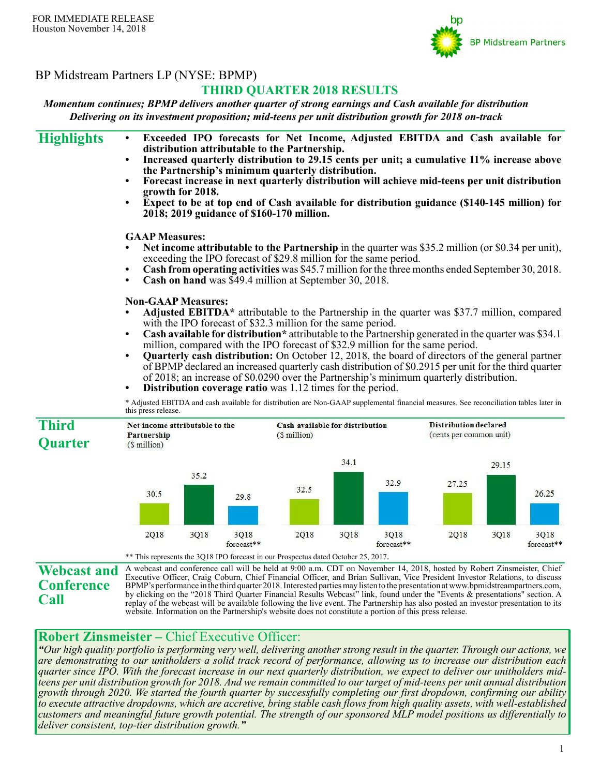

# BP Midstream Partners LP (NYSE: BPMP)

# **THIRD QUARTER 2018 RESULTS**

*Momentum continues; BPMP delivers another quarter of strong earnings and Cash available for distribution Delivering on its investment proposition; mid-teens per unit distribution growth for 2018 on-track*

| <b>Highlights</b>                       | $\bullet$<br>٠<br>$\bullet$                                   | growth for 2018. |                    | distribution attributable to the Partnership.<br>the Partnership's minimum quarterly distribution.<br>2018; 2019 guidance of \$160-170 million.                                                                     |      |                    | Exceeded IPO forecasts for Net Income, Adjusted EBITDA and Cash available for<br>Increased quarterly distribution to 29.15 cents per unit; a cumulative 11% increase above<br>Forecast increase in next quarterly distribution will achieve mid-teens per unit distribution<br>Expect to be at top end of Cash available for distribution guidance (\$140-145 million) for                                                                                                                                        |       |                    |  |  |
|-----------------------------------------|---------------------------------------------------------------|------------------|--------------------|---------------------------------------------------------------------------------------------------------------------------------------------------------------------------------------------------------------------|------|--------------------|-------------------------------------------------------------------------------------------------------------------------------------------------------------------------------------------------------------------------------------------------------------------------------------------------------------------------------------------------------------------------------------------------------------------------------------------------------------------------------------------------------------------|-------|--------------------|--|--|
|                                         | <b>GAAP</b> Measures:<br>$\bullet$<br>$\bullet$               |                  |                    | exceeding the IPO forecast of \$29.8 million for the same period.<br>Cash on hand was \$49.4 million at September 30, 2018.                                                                                         |      |                    | Net income attributable to the Partnership in the quarter was \$35.2 million (or \$0.34 per unit),<br>Cash from operating activities was \$45.7 million for the three months ended September 30, 2018.                                                                                                                                                                                                                                                                                                            |       |                    |  |  |
|                                         | <b>Non-GAAP Measures:</b><br>$\bullet$                        |                  |                    | with the IPO forecast of \$32.3 million for the same period.<br>million, compared with the IPO forecast of \$32.9 million for the same period.<br><b>Distribution coverage ratio</b> was 1.12 times for the period. |      |                    | Adjusted EBITDA* attributable to the Partnership in the quarter was \$37.7 million, compared<br>Cash available for distribution* attributable to the Partnership generated in the quarter was \$34.1<br><b>Quarterly cash distribution:</b> On October 12, 2018, the board of directors of the general partner<br>of BPMP declared an increased quarterly cash distribution of \$0.2915 per unit for the third quarter<br>of 2018; an increase of \$0.0290 over the Partnership's minimum quarterly distribution. |       |                    |  |  |
|                                         | this press release.                                           |                  |                    |                                                                                                                                                                                                                     |      |                    | * Adjusted EBITDA and cash available for distribution are Non-GAAP supplemental financial measures. See reconciliation tables later in                                                                                                                                                                                                                                                                                                                                                                            |       |                    |  |  |
| <b>Third</b><br><b>Quarter</b>          | Net income attributable to the<br>Partnership<br>(\$ million) |                  |                    | Cash available for distribution<br>(\$min                                                                                                                                                                           |      |                    | <b>Distribution declared</b><br>(cents per common unit)                                                                                                                                                                                                                                                                                                                                                                                                                                                           |       |                    |  |  |
|                                         |                                                               |                  |                    |                                                                                                                                                                                                                     | 34.1 |                    |                                                                                                                                                                                                                                                                                                                                                                                                                                                                                                                   | 29.15 |                    |  |  |
|                                         | 30.5                                                          | 35.2             | 29.8               | 32.5                                                                                                                                                                                                                |      | 32.9               | 27.25                                                                                                                                                                                                                                                                                                                                                                                                                                                                                                             |       | 26.25              |  |  |
|                                         | 2Q18                                                          | 3Q18             | 3Q18<br>forecast** | 2Q18<br>** This represents the 3Q18 IPO forecast in our Prospectus dated October 25, 2017.                                                                                                                          | 3Q18 | 3Q18<br>forecast** | 2Q18                                                                                                                                                                                                                                                                                                                                                                                                                                                                                                              | 3Q18  | 3Q18<br>forecast** |  |  |
| <b>Webcast and</b><br><b>Conference</b> |                                                               |                  |                    |                                                                                                                                                                                                                     |      |                    | A webcast and conference call will be held at 9:00 a.m. CDT on November 14, 2018, hosted by Robert Zinsmeister, Chief<br>Executive Officer, Craig Coburn, Chief Financial Officer, and Brian Sullivan, Vice President Investor Relations, to discuss<br>BPMP's performance in the third quarter 2018. Interested parties may listen to the presentation at www.bpmidstreampartners.com,                                                                                                                           |       |                    |  |  |

BPMP's performance in the third quarter 2018. Interested parties may listen to the presentation at www.bpmidstreampartners.com, by clicking on the "2018 Third Quarter Financial Results Webcast" link, found under the "Events & presentations" section. A replay of the webcast will be available following the live event. The Partnership has also posted an investor presentation to its website. Information on the Partnership's website does not constitute a portion of this press release.

# **Robert Zinsmeister –** Chief Executive Officer:

**Call**

*"Our high quality portfolio is performing very well, delivering another strong result in the quarter. Through our actions, we are demonstrating to our unitholders a solid track record of performance, allowing us to increase our distribution each quarter since IPO. With the forecast increase in our next quarterly distribution, we expect to deliver our unitholders midteens per unit distribution growth for 2018. And we remain committed to our target of mid-teens per unit annual distribution growth through 2020. We started the fourth quarter by successfully completing our first dropdown, confirming our ability to execute attractive dropdowns, which are accretive, bring stable cash flows from high quality assets, with well-established customers and meaningful future growth potential. The strength of our sponsored MLP model positions us differentially to deliver consistent, top-tier distribution growth."*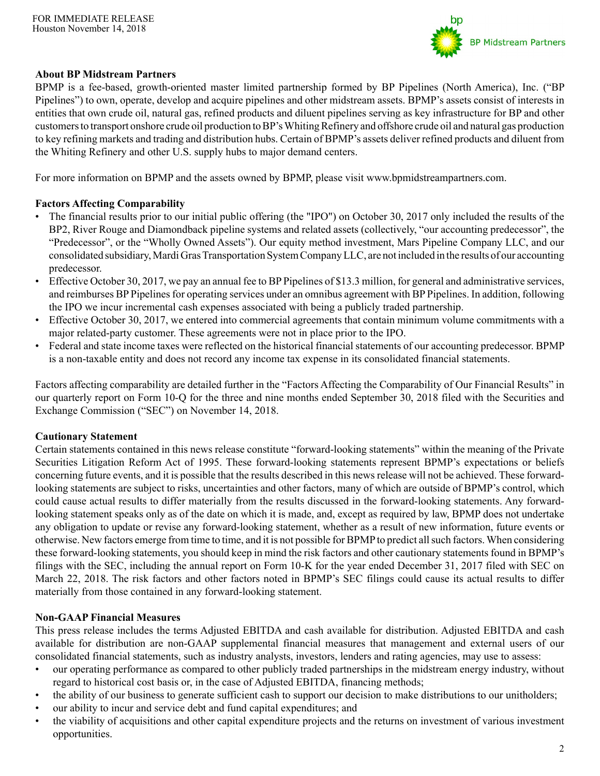

## **About BP Midstream Partners**

BPMP is a fee-based, growth-oriented master limited partnership formed by BP Pipelines (North America), Inc. ("BP Pipelines") to own, operate, develop and acquire pipelines and other midstream assets. BPMP's assets consist of interests in entities that own crude oil, natural gas, refined products and diluent pipelines serving as key infrastructure for BP and other customers to transport onshore crude oil production to BP's Whiting Refinery and offshore crude oil and natural gas production to key refining markets and trading and distribution hubs. Certain of BPMP's assets deliver refined products and diluent from the Whiting Refinery and other U.S. supply hubs to major demand centers.

For more information on BPMP and the assets owned by BPMP, please visit www.bpmidstreampartners.com.

## **Factors Affecting Comparability**

- The financial results prior to our initial public offering (the "IPO") on October 30, 2017 only included the results of the BP2, River Rouge and Diamondback pipeline systems and related assets (collectively, "our accounting predecessor", the "Predecessor", or the "Wholly Owned Assets"). Our equity method investment, Mars Pipeline Company LLC, and our consolidated subsidiary, Mardi Gras Transportation System Company LLC, are not included in the results of our accounting predecessor.
- Effective October 30, 2017, we pay an annual fee to BP Pipelines of \$13.3 million, for general and administrative services, and reimburses BP Pipelines for operating services under an omnibus agreement with BP Pipelines. In addition, following the IPO we incur incremental cash expenses associated with being a publicly traded partnership.
- Effective October 30, 2017, we entered into commercial agreements that contain minimum volume commitments with a major related-party customer. These agreements were not in place prior to the IPO.
- Federal and state income taxes were reflected on the historical financial statements of our accounting predecessor. BPMP is a non-taxable entity and does not record any income tax expense in its consolidated financial statements.

Factors affecting comparability are detailed further in the "Factors Affecting the Comparability of Our Financial Results" in our quarterly report on Form 10-Q for the three and nine months ended September 30, 2018 filed with the Securities and Exchange Commission ("SEC") on November 14, 2018.

### **Cautionary Statement**

Certain statements contained in this news release constitute "forward-looking statements" within the meaning of the Private Securities Litigation Reform Act of 1995. These forward-looking statements represent BPMP's expectations or beliefs concerning future events, and it is possible that the results described in this news release will not be achieved. These forwardlooking statements are subject to risks, uncertainties and other factors, many of which are outside of BPMP's control, which could cause actual results to differ materially from the results discussed in the forward-looking statements. Any forwardlooking statement speaks only as of the date on which it is made, and, except as required by law, BPMP does not undertake any obligation to update or revise any forward-looking statement, whether as a result of new information, future events or otherwise. New factors emerge from time to time, and it is not possible for BPMPto predict all such factors. When considering these forward-looking statements, you should keep in mind the risk factors and other cautionary statements found in BPMP's filings with the SEC, including the annual report on Form 10-K for the year ended December 31, 2017 filed with SEC on March 22, 2018. The risk factors and other factors noted in BPMP's SEC filings could cause its actual results to differ materially from those contained in any forward-looking statement.

### **Non-GAAP Financial Measures**

This press release includes the terms Adjusted EBITDA and cash available for distribution. Adjusted EBITDA and cash available for distribution are non-GAAP supplemental financial measures that management and external users of our consolidated financial statements, such as industry analysts, investors, lenders and rating agencies, may use to assess:

- our operating performance as compared to other publicly traded partnerships in the midstream energy industry, without regard to historical cost basis or, in the case of Adjusted EBITDA, financing methods;
- the ability of our business to generate sufficient cash to support our decision to make distributions to our unitholders;
- our ability to incur and service debt and fund capital expenditures; and
- the viability of acquisitions and other capital expenditure projects and the returns on investment of various investment opportunities.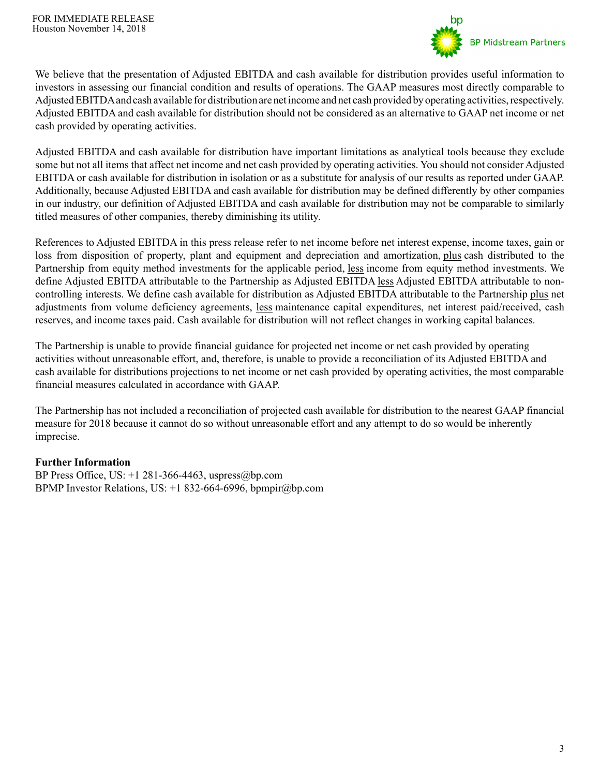

We believe that the presentation of Adjusted EBITDA and cash available for distribution provides useful information to investors in assessing our financial condition and results of operations. The GAAP measures most directly comparable to Adjusted EBITDAand cash available for distribution are net income and net cash provided by operating activities, respectively. Adjusted EBITDA and cash available for distribution should not be considered as an alternative to GAAP net income or net cash provided by operating activities.

Adjusted EBITDA and cash available for distribution have important limitations as analytical tools because they exclude some but not all items that affect net income and net cash provided by operating activities. You should not consider Adjusted EBITDA or cash available for distribution in isolation or as a substitute for analysis of our results as reported under GAAP. Additionally, because Adjusted EBITDA and cash available for distribution may be defined differently by other companies in our industry, our definition of Adjusted EBITDA and cash available for distribution may not be comparable to similarly titled measures of other companies, thereby diminishing its utility.

References to Adjusted EBITDA in this press release refer to net income before net interest expense, income taxes, gain or loss from disposition of property, plant and equipment and depreciation and amortization, plus cash distributed to the Partnership from equity method investments for the applicable period, less income from equity method investments. We define Adjusted EBITDA attributable to the Partnership as Adjusted EBITDA less Adjusted EBITDA attributable to noncontrolling interests. We define cash available for distribution as Adjusted EBITDA attributable to the Partnership plus net adjustments from volume deficiency agreements, less maintenance capital expenditures, net interest paid/received, cash reserves, and income taxes paid. Cash available for distribution will not reflect changes in working capital balances.

The Partnership is unable to provide financial guidance for projected net income or net cash provided by operating activities without unreasonable effort, and, therefore, is unable to provide a reconciliation of its Adjusted EBITDA and cash available for distributions projections to net income or net cash provided by operating activities, the most comparable financial measures calculated in accordance with GAAP.

The Partnership has not included a reconciliation of projected cash available for distribution to the nearest GAAP financial measure for 2018 because it cannot do so without unreasonable effort and any attempt to do so would be inherently imprecise.

### **Further Information**

BP Press Office, US: +1 281-366-4463, uspress@bp.com BPMP Investor Relations, US:  $+1832-664-6996$ , bpmpir@bp.com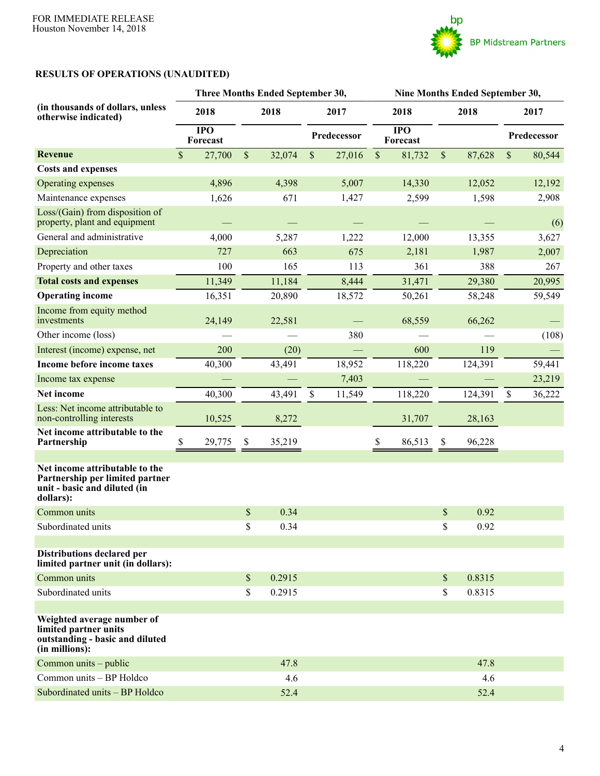

# **RESULTS OF OPERATIONS (UNAUDITED)**

|                                                                                                                |                        |             | Three Months Ended September 30, |                     |        | Nine Months Ended September 30, |                              |              |         |             |        |
|----------------------------------------------------------------------------------------------------------------|------------------------|-------------|----------------------------------|---------------------|--------|---------------------------------|------------------------------|--------------|---------|-------------|--------|
| (in thousands of dollars, unless<br>otherwise indicated)                                                       | 2018                   | 2018        |                                  | 2017<br>Predecessor |        | 2018                            |                              | 2018         |         | 2017        |        |
|                                                                                                                | <b>IPO</b><br>Forecast |             |                                  |                     |        |                                 | $\overline{IPO}$<br>Forecast |              |         | Predecessor |        |
| <b>Revenue</b>                                                                                                 | $\sqrt{\ }$<br>27,700  | $\mathbb S$ | 32,074                           | $\$$                | 27,016 | $\$$                            | 81,732                       | $\mathbb{S}$ | 87,628  | \$          | 80,544 |
| <b>Costs and expenses</b>                                                                                      |                        |             |                                  |                     |        |                                 |                              |              |         |             |        |
| Operating expenses                                                                                             | 4,896                  |             | 4,398                            |                     | 5,007  |                                 | 14,330                       |              | 12,052  |             | 12,192 |
| Maintenance expenses                                                                                           | 1,626                  |             | 671                              |                     | 1,427  |                                 | 2,599                        |              | 1,598   |             | 2,908  |
| Loss/(Gain) from disposition of<br>property, plant and equipment                                               |                        |             |                                  |                     |        |                                 |                              |              |         |             | (6)    |
| General and administrative                                                                                     | 4,000                  |             | 5,287                            |                     | 1,222  |                                 | 12,000                       |              | 13,355  |             | 3,627  |
| Depreciation                                                                                                   | 727                    |             | 663                              |                     | 675    |                                 | 2,181                        |              | 1,987   |             | 2,007  |
| Property and other taxes                                                                                       | 100                    |             | 165                              |                     | 113    |                                 | 361                          |              | 388     |             | 267    |
| <b>Total costs and expenses</b>                                                                                | 11,349                 |             | 11,184                           |                     | 8,444  |                                 | 31,471                       |              | 29,380  |             | 20,995 |
| <b>Operating income</b>                                                                                        | 16,351                 |             | 20,890                           |                     | 18,572 |                                 | 50,261                       |              | 58,248  |             | 59,549 |
| Income from equity method<br>investments                                                                       | 24,149                 |             | 22,581                           |                     |        |                                 | 68,559                       |              | 66,262  |             |        |
| Other income (loss)                                                                                            |                        |             |                                  |                     | 380    |                                 |                              |              |         |             | (108)  |
| Interest (income) expense, net                                                                                 | 200                    |             | (20)                             |                     |        |                                 | 600                          |              | 119     |             |        |
| Income before income taxes                                                                                     | 40,300                 |             | 43,491                           |                     | 18,952 |                                 | 118,220                      |              | 124,391 |             | 59,441 |
| Income tax expense                                                                                             |                        |             |                                  |                     | 7,403  |                                 |                              |              |         |             | 23,219 |
| Net income                                                                                                     | 40,300                 |             | 43,491                           | \$                  | 11,549 |                                 | 118,220                      |              | 124,391 | \$          | 36,222 |
| Less: Net income attributable to<br>non-controlling interests                                                  | 10,525                 |             | 8,272                            |                     |        |                                 | 31,707                       |              | 28,163  |             |        |
| Net income attributable to the<br>Partnership                                                                  | 29,775<br>\$           | \$          | 35,219                           |                     |        | \$                              | 86,513                       | \$           | 96,228  |             |        |
| Net income attributable to the<br>Partnership per limited partner<br>unit - basic and diluted (in<br>dollars): |                        |             |                                  |                     |        |                                 |                              |              |         |             |        |
| Common units                                                                                                   |                        | \$          | 0.34                             |                     |        |                                 |                              | \$           | 0.92    |             |        |
| Subordinated units                                                                                             |                        | \$          | 0.34                             |                     |        |                                 |                              | \$           | 0.92    |             |        |
| Distributions declared per<br>limited partner unit (in dollars):                                               |                        |             |                                  |                     |        |                                 |                              |              |         |             |        |
| Common units                                                                                                   |                        | \$          | 0.2915                           |                     |        |                                 |                              | $\mathbb{S}$ | 0.8315  |             |        |
| Subordinated units                                                                                             |                        | \$          | 0.2915                           |                     |        |                                 |                              | \$           | 0.8315  |             |        |
|                                                                                                                |                        |             |                                  |                     |        |                                 |                              |              |         |             |        |
| Weighted average number of<br>limited partner units<br>outstanding - basic and diluted<br>(in millions):       |                        |             |                                  |                     |        |                                 |                              |              |         |             |        |
| Common units – public                                                                                          |                        |             | 47.8                             |                     |        |                                 |                              |              | 47.8    |             |        |
| Common units - BP Holdco                                                                                       |                        |             | 4.6                              |                     |        |                                 |                              |              | 4.6     |             |        |
| Subordinated units - BP Holdco                                                                                 |                        |             | 52.4                             |                     |        |                                 |                              |              | 52.4    |             |        |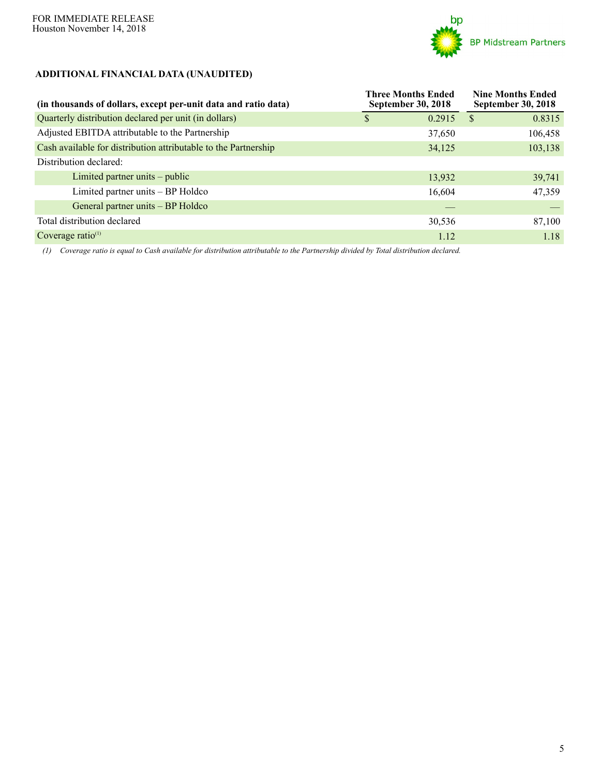

## **ADDITIONAL FINANCIAL DATA (UNAUDITED)**

| (in thousands of dollars, except per-unit data and ratio data)  | <b>Three Months Ended</b><br><b>September 30, 2018</b> | <b>Nine Months Ended</b><br><b>September 30, 2018</b> |
|-----------------------------------------------------------------|--------------------------------------------------------|-------------------------------------------------------|
| Quarterly distribution declared per unit (in dollars)           | 0.2915<br>S                                            | 0.8315<br><sup>S</sup>                                |
| Adjusted EBITDA attributable to the Partnership                 | 37,650                                                 | 106,458                                               |
| Cash available for distribution attributable to the Partnership | 34,125                                                 | 103,138                                               |
| Distribution declared:                                          |                                                        |                                                       |
| Limited partner units – public                                  | 13,932                                                 | 39,741                                                |
| Limited partner units – BP Holdco                               | 16,604                                                 | 47,359                                                |
| General partner units – BP Holdco                               |                                                        |                                                       |
| Total distribution declared                                     | 30,536                                                 | 87,100                                                |
| Coverage ratio <sup>(1)</sup>                                   | 1.12                                                   | 1.18                                                  |

*(1) Coverage ratio is equal to Cash available for distribution attributable to the Partnership divided by Total distribution declared.*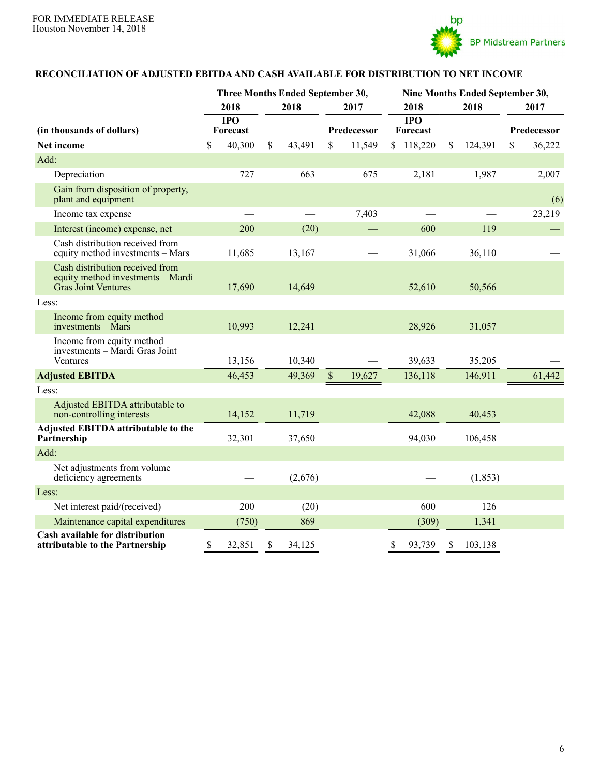

### **RECONCILIATION OF ADJUSTED EBITDAAND CASH AVAILABLE FOR DISTRIBUTION TO NET INCOME**

|                                                                                             | Three Months Ended September 30, |                  |    |         |              |             | Nine Months Ended September 30, |      |          |      |             |
|---------------------------------------------------------------------------------------------|----------------------------------|------------------|----|---------|--------------|-------------|---------------------------------|------|----------|------|-------------|
|                                                                                             |                                  | 2018             |    | 2018    |              | 2017        | 2018                            | 2018 |          | 2017 |             |
|                                                                                             |                                  | $\overline{IPO}$ |    |         |              |             | $\overline{IPO}$                |      |          |      |             |
| (in thousands of dollars)                                                                   |                                  | Forecast         |    |         |              | Predecessor | Forecast                        |      |          |      | Predecessor |
| Net income                                                                                  | \$                               | 40,300           | \$ | 43,491  | \$           | 11,549      | \$118,220                       | \$   | 124,391  | \$   | 36,222      |
| Add:                                                                                        |                                  |                  |    |         |              |             |                                 |      |          |      |             |
| Depreciation                                                                                |                                  | 727              |    | 663     |              | 675         | 2,181                           |      | 1,987    |      | 2,007       |
| Gain from disposition of property,<br>plant and equipment                                   |                                  |                  |    |         |              |             |                                 |      |          |      | (6)         |
| Income tax expense                                                                          |                                  |                  |    |         |              | 7,403       |                                 |      |          |      | 23,219      |
| Interest (income) expense, net                                                              |                                  | 200              |    | (20)    |              |             | 600                             |      | 119      |      |             |
| Cash distribution received from<br>equity method investments - Mars                         |                                  | 11,685           |    | 13,167  |              |             | 31,066                          |      | 36,110   |      |             |
| Cash distribution received from<br>equity method investments - Mardi<br>Gras Joint Ventures |                                  | 17,690           |    | 14,649  |              |             | 52,610                          |      | 50,566   |      |             |
| Less:                                                                                       |                                  |                  |    |         |              |             |                                 |      |          |      |             |
| Income from equity method<br>investments - Mars                                             |                                  | 10,993           |    | 12,241  |              |             | 28,926                          |      | 31,057   |      |             |
| Income from equity method<br>investments - Mardi Gras Joint<br>Ventures                     |                                  | 13,156           |    | 10,340  |              |             | 39,633                          |      | 35,205   |      |             |
| <b>Adjusted EBITDA</b>                                                                      |                                  | 46,453           |    | 49,369  | $\mathbb{S}$ | 19,627      | 136,118                         |      | 146,911  |      | 61,442      |
| Less:                                                                                       |                                  |                  |    |         |              |             |                                 |      |          |      |             |
| Adjusted EBITDA attributable to<br>non-controlling interests                                |                                  | 14,152           |    | 11,719  |              |             | 42,088                          |      | 40,453   |      |             |
| Adjusted EBITDA attributable to the<br>Partnership                                          |                                  | 32,301           |    | 37,650  |              |             | 94,030                          |      | 106,458  |      |             |
| Add:                                                                                        |                                  |                  |    |         |              |             |                                 |      |          |      |             |
| Net adjustments from volume<br>deficiency agreements                                        |                                  |                  |    | (2,676) |              |             |                                 |      | (1, 853) |      |             |
| Less:                                                                                       |                                  |                  |    |         |              |             |                                 |      |          |      |             |
| Net interest paid/(received)                                                                |                                  | 200              |    | (20)    |              |             | 600                             |      | 126      |      |             |
| Maintenance capital expenditures                                                            |                                  | (750)            |    | 869     |              |             | (309)                           |      | 1,341    |      |             |
| <b>Cash available for distribution</b><br>attributable to the Partnership                   | \$                               | 32,851           | \$ | 34,125  |              |             | \$<br>93,739                    | \$   | 103,138  |      |             |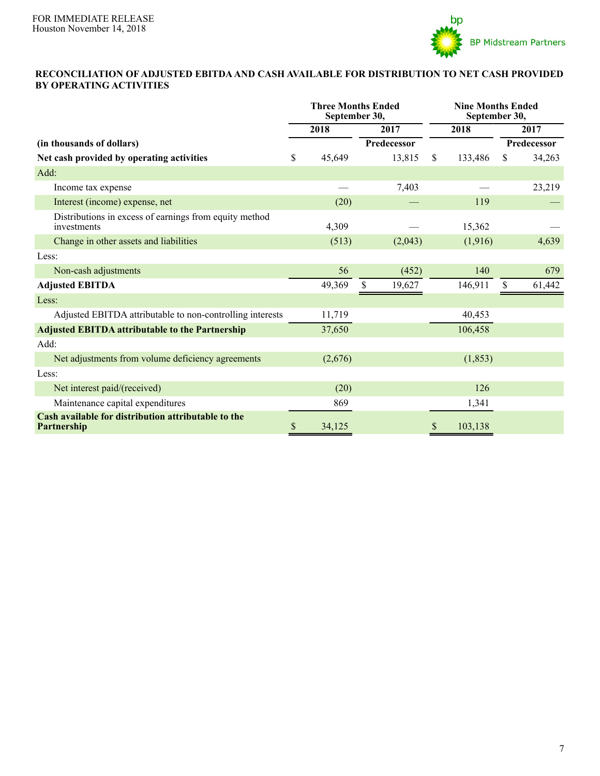

#### **RECONCILIATION OF ADJUSTED EBITDAAND CASH AVAILABLE FOR DISTRIBUTION TO NET CASH PROVIDED BY OPERATING ACTIVITIES**

|                                                                       | <b>Three Months Ended</b><br>September 30, |         |              |              | <b>Nine Months Ended</b><br>September 30, |      |             |
|-----------------------------------------------------------------------|--------------------------------------------|---------|--------------|--------------|-------------------------------------------|------|-------------|
|                                                                       |                                            | 2018    | 2017         | 2018         |                                           | 2017 |             |
| (in thousands of dollars)                                             |                                            |         | Predecessor  |              |                                           |      | Predecessor |
| Net cash provided by operating activities                             |                                            | 45,649  | 13,815       | $\mathbb{S}$ | 133,486                                   | \$   | 34,263      |
| Add:                                                                  |                                            |         |              |              |                                           |      |             |
| Income tax expense                                                    |                                            |         | 7,403        |              |                                           |      | 23,219      |
| Interest (income) expense, net                                        |                                            | (20)    |              |              | 119                                       |      |             |
| Distributions in excess of earnings from equity method<br>investments |                                            | 4,309   |              |              | 15,362                                    |      |             |
| Change in other assets and liabilities                                |                                            | (513)   | (2,043)      |              | (1,916)                                   |      | 4,639       |
| Less:                                                                 |                                            |         |              |              |                                           |      |             |
| Non-cash adjustments                                                  |                                            | 56      | (452)        |              | 140                                       |      | 679         |
| <b>Adjusted EBITDA</b>                                                |                                            | 49,369  | \$<br>19,627 |              | 146,911                                   | \$   | 61,442      |
| Less:                                                                 |                                            |         |              |              |                                           |      |             |
| Adjusted EBITDA attributable to non-controlling interests             |                                            | 11,719  |              |              | 40,453                                    |      |             |
| <b>Adjusted EBITDA attributable to the Partnership</b>                |                                            | 37,650  |              |              | 106,458                                   |      |             |
| Add:                                                                  |                                            |         |              |              |                                           |      |             |
| Net adjustments from volume deficiency agreements                     |                                            | (2,676) |              |              | (1, 853)                                  |      |             |
| Less:                                                                 |                                            |         |              |              |                                           |      |             |
| Net interest paid/(received)                                          |                                            | (20)    |              |              | 126                                       |      |             |
| Maintenance capital expenditures                                      |                                            | 869     |              |              | 1,341                                     |      |             |
| Cash available for distribution attributable to the<br>Partnership    | \$                                         | 34,125  |              | \$           | 103,138                                   |      |             |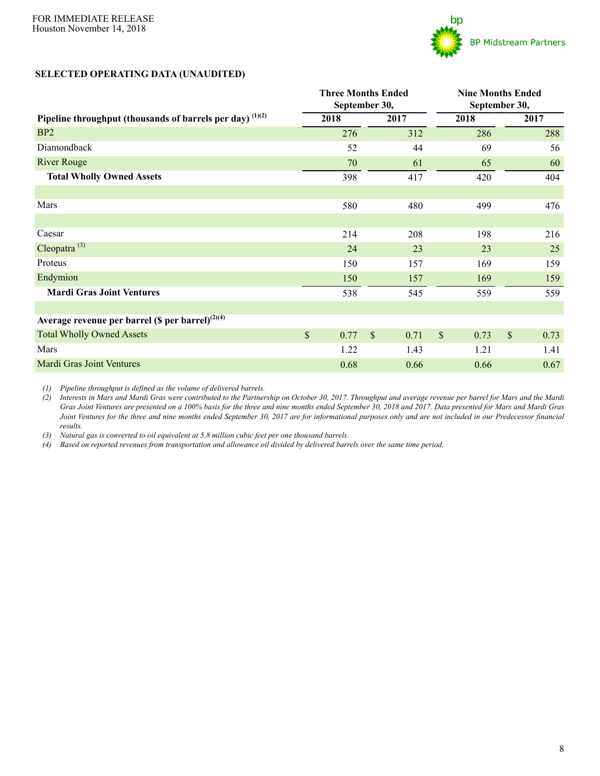

#### **SELECTED OPERATING DATA (UNAUDITED)**

|                                                                | <b>Three Months Ended</b><br>September 30, |      |             |      |               | <b>Nine Months Ended</b><br>September 30, |    |      |
|----------------------------------------------------------------|--------------------------------------------|------|-------------|------|---------------|-------------------------------------------|----|------|
| Pipeline throughput (thousands of barrels per day) $^{(1)(2)}$ | 2018                                       |      |             | 2017 |               | 2018                                      |    | 2017 |
| B <sub>P2</sub>                                                |                                            | 276  |             | 312  |               | 286                                       |    | 288  |
| Diamondback                                                    |                                            | 52   |             | 44   |               | 69                                        |    | 56   |
| <b>River Rouge</b>                                             |                                            | 70   |             | 61   |               | 65                                        |    | 60   |
| <b>Total Wholly Owned Assets</b>                               |                                            | 398  |             | 417  |               | 420                                       |    | 404  |
|                                                                |                                            |      |             |      |               |                                           |    |      |
| Mars                                                           |                                            | 580  |             | 480  |               | 499                                       |    | 476  |
|                                                                |                                            |      |             |      |               |                                           |    |      |
| Caesar                                                         |                                            | 214  |             | 208  |               | 198                                       |    | 216  |
| Cleopatra $^{(3)}$                                             |                                            | 24   |             | 23   |               | 23                                        |    | 25   |
| Proteus                                                        |                                            | 150  |             | 157  |               | 169                                       |    | 159  |
| Endymion                                                       |                                            | 150  |             | 157  |               | 169                                       |    | 159  |
| <b>Mardi Gras Joint Ventures</b>                               |                                            | 538  |             | 545  |               | 559                                       |    | 559  |
|                                                                |                                            |      |             |      |               |                                           |    |      |
| Average revenue per barrel (\$ per barrel) $^{(2)(4)}$         |                                            |      |             |      |               |                                           |    |      |
| <b>Total Wholly Owned Assets</b>                               | $\$$                                       | 0.77 | $\sqrt{\ }$ | 0.71 | $\mathcal{S}$ | 0.73                                      | \$ | 0.73 |
| Mars                                                           |                                            | 1.22 |             | 1.43 |               | 1.21                                      |    | 1.41 |
| <b>Mardi Gras Joint Ventures</b>                               |                                            | 0.68 |             | 0.66 |               | 0.66                                      |    | 0.67 |

*(1) Pipeline throughput is defined as the volume of delivered barrels.*

*(2) Interests in Mars and Mardi Gras were contributed to the Partnership on October 30, 2017. Throughput and average revenue per barrel for Mars and the Mardi Gras Joint Ventures are presented on a 100% basis for the three and nine months ended September 30, 2018 and 2017. Data presented for Mars and Mardi Gras Joint Ventures for the three and nine months ended September 30, 2017 are for informational purposes only and are not included in our Predecessor financial results.*

*(3) Natural gas is converted to oil equivalent at 5.8 million cubic feet per one thousand barrels.*

*(4) Based on reported revenues from transportation and allowance oil divided by delivered barrels over the same time period.*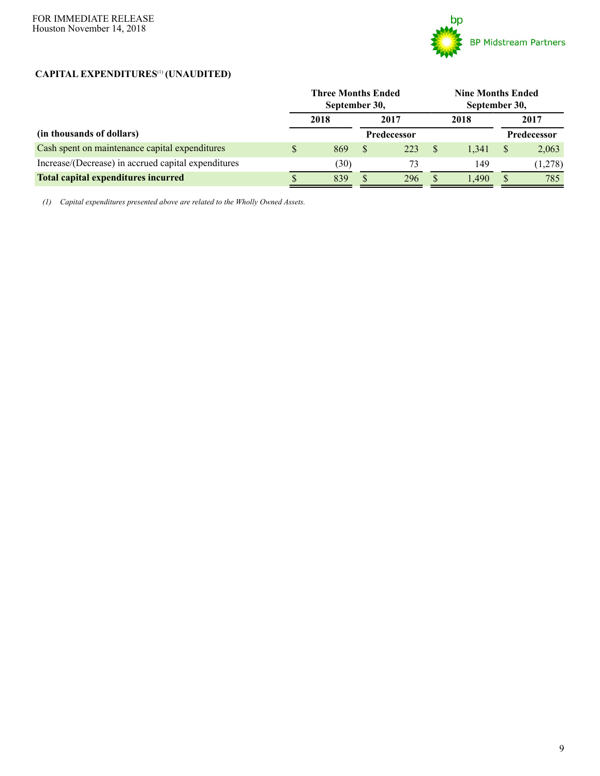

# **CAPITAL EXPENDITURES**(1) **(UNAUDITED)**

|                                                     | <b>Three Months Ended</b><br>September 30, |               |                    |   | <b>Nine Months Ended</b><br>September 30, |   |                    |  |
|-----------------------------------------------------|--------------------------------------------|---------------|--------------------|---|-------------------------------------------|---|--------------------|--|
|                                                     | 2018                                       |               | 2017               |   | 2018                                      |   | 2017               |  |
| (in thousands of dollars)                           |                                            |               | <b>Predecessor</b> |   |                                           |   | <b>Predecessor</b> |  |
| Cash spent on maintenance capital expenditures      | \$<br>869                                  | <sup>\$</sup> | 223                | S | 1.341                                     | S | 2,063              |  |
| Increase/(Decrease) in accrued capital expenditures | (30)                                       |               | 73                 |   | 149                                       |   | (1,278)            |  |
| <b>Total capital expenditures incurred</b>          | 839                                        |               | 296                |   | 1.490                                     |   | 785                |  |

*(1) Capital expenditures presented above are related to the Wholly Owned Assets.*